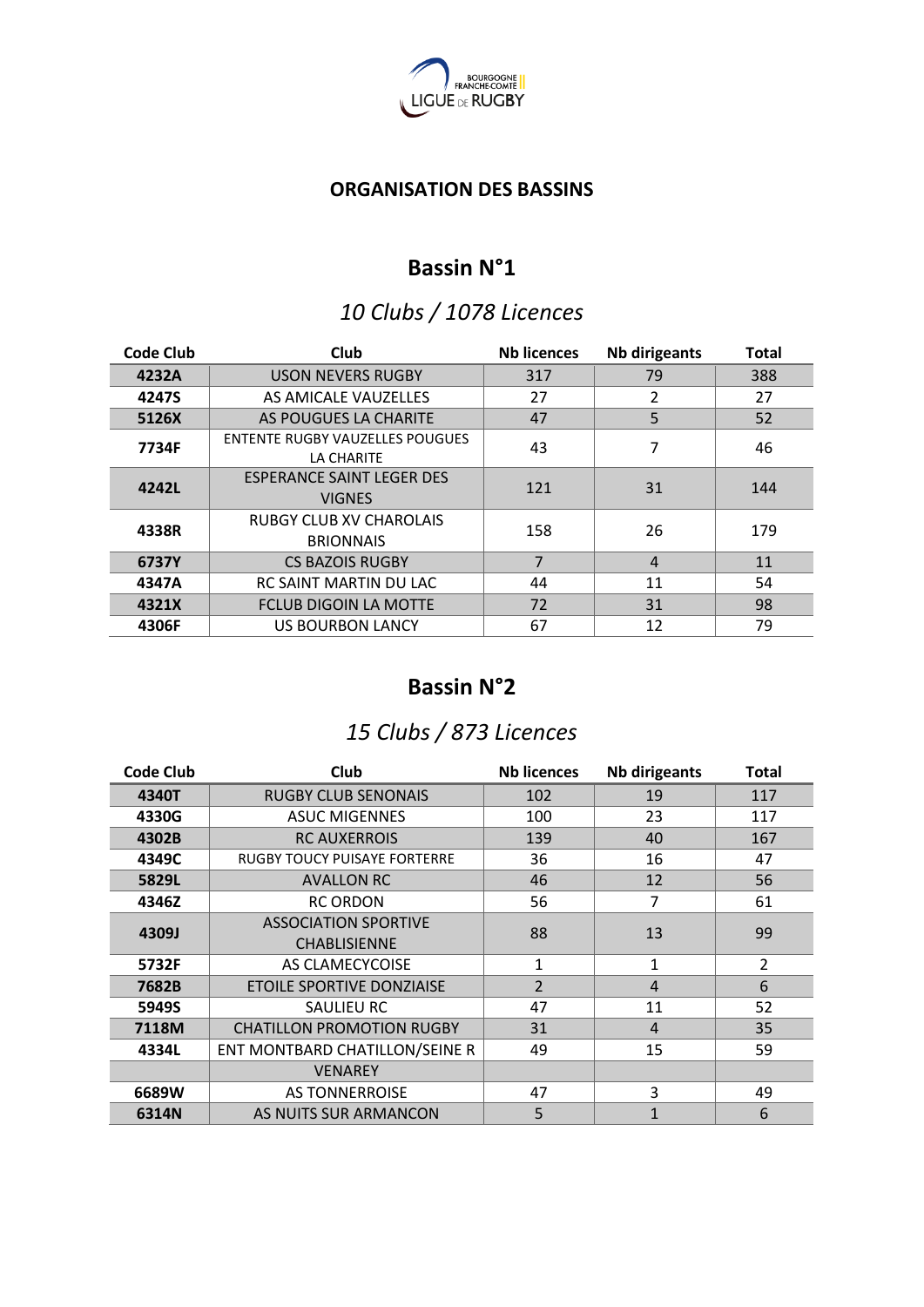

#### **ORGANISATION DES BASSINS**

#### **Bassin N°1**

#### *10 Clubs / 1078 Licences*

| <b>Code Club</b> | Club                                                 | <b>Nb licences</b> | <b>Nb dirigeants</b> | <b>Total</b> |
|------------------|------------------------------------------------------|--------------------|----------------------|--------------|
| 4232A            | <b>USON NEVERS RUGBY</b>                             | 317                | 79                   | 388          |
| 4247S            | AS AMICALE VAUZELLES                                 | 27                 | 2                    | 27           |
| 5126X            | AS POUGUES LA CHARITE                                | 47                 | 5                    | 52           |
| 7734F            | <b>ENTENTE RUGBY VAUZELLES POUGUES</b><br>LA CHARITE | 43                 | 7                    | 46           |
| 4242L            | <b>ESPERANCE SAINT LEGER DES</b><br><b>VIGNES</b>    | 121                | 31                   | 144          |
| 4338R            | <b>RUBGY CLUB XV CHAROLAIS</b><br><b>BRIONNAIS</b>   | 158                | 26                   | 179          |
| 6737Y            | <b>CS BAZOIS RUGBY</b>                               | 7                  | $\overline{4}$       | 11           |
| 4347A            | RC SAINT MARTIN DU LAC                               | 44                 | 11                   | 54           |
| 4321X            | <b>FCLUB DIGOIN LA MOTTE</b>                         | 72                 | 31                   | 98           |
| 4306F            | <b>US BOURBON LANCY</b>                              | 67                 | 12                   | 79           |

#### **Bassin N°2**

### *15 Clubs / 873 Licences*

| <b>Code Club</b> | Club                                               | <b>Nb licences</b> | <b>Nb dirigeants</b> | <b>Total</b>   |
|------------------|----------------------------------------------------|--------------------|----------------------|----------------|
| 4340T            | <b>RUGBY CLUB SENONAIS</b>                         | 102                | 19                   | 117            |
| 4330G            | <b>ASUC MIGENNES</b>                               | 100                | 23                   | 117            |
| 4302B            | <b>RC AUXERROIS</b>                                | 139                | 40                   | 167            |
| 4349C            | <b>RUGBY TOUCY PUISAYE FORTERRE</b>                | 36                 | 16                   | 47             |
| 5829L            | <b>AVALLON RC</b>                                  | 46                 | 12                   | 56             |
| 4346Z            | <b>RC ORDON</b>                                    | 56                 | $\overline{7}$       | 61             |
| 4309J            | <b>ASSOCIATION SPORTIVE</b><br><b>CHABLISIENNE</b> | 88                 | 13                   | 99             |
| 5732F            | AS CLAMECYCOISE                                    | 1                  | 1                    | $\overline{2}$ |
| 7682B            | <b>ETOILE SPORTIVE DONZIAISE</b>                   | $\overline{2}$     | $\overline{4}$       | 6              |
| 5949S            | SAULIEU RC                                         | 47                 | 11                   | 52             |
| 7118M            | <b>CHATILLON PROMOTION RUGBY</b>                   | 31                 | 4                    | 35             |
| 4334L            | ENT MONTBARD CHATILLON/SEINE R                     | 49                 | 15                   | 59             |
|                  | <b>VENAREY</b>                                     |                    |                      |                |
| 6689W            | <b>AS TONNERROISE</b>                              | 47                 | 3                    | 49             |
| 6314N            | AS NUITS SUR ARMANCON                              | 5                  | $\mathbf{1}$         | 6              |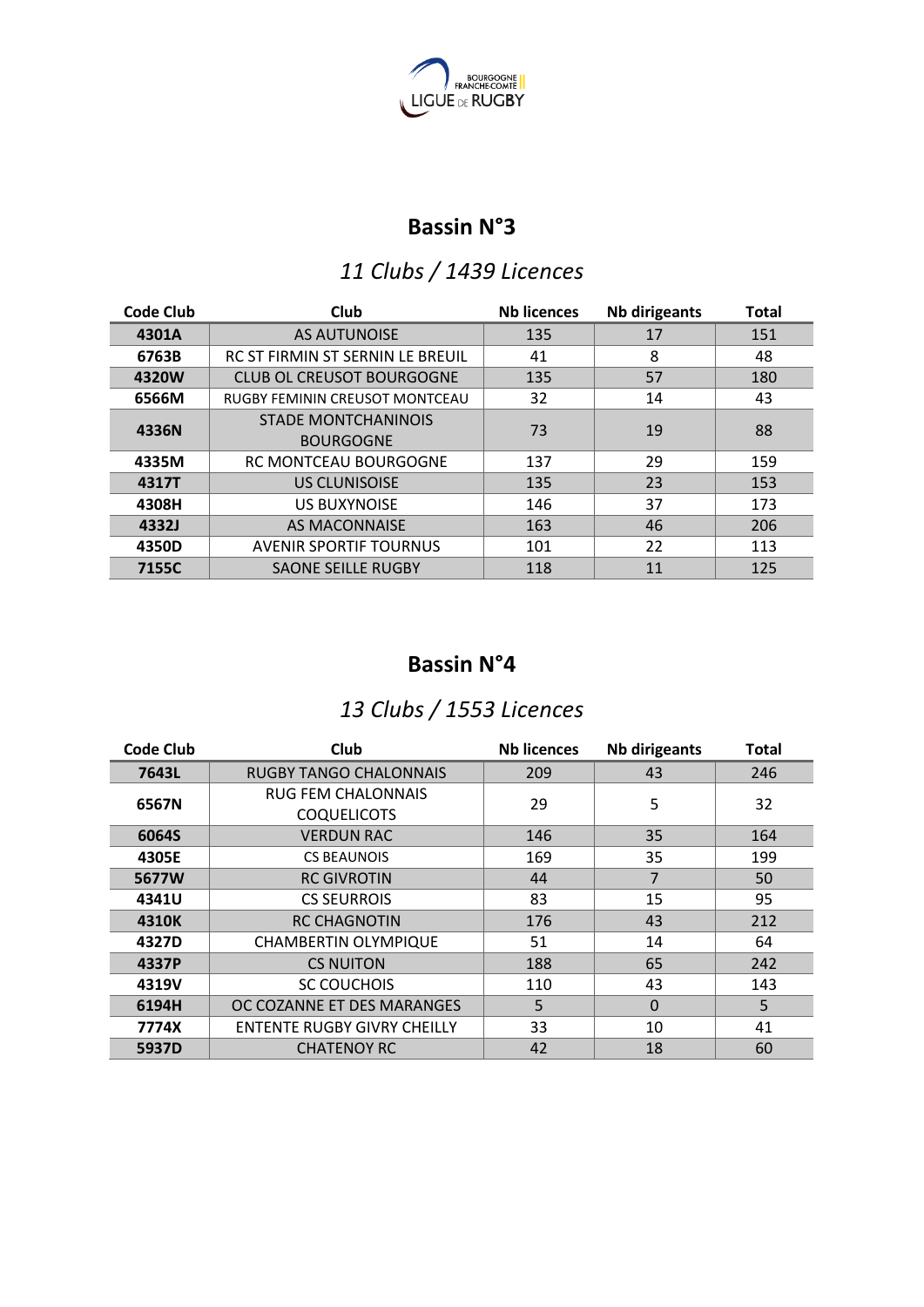

#### **Bassin N°3**

## *11 Clubs / 1439 Licences*

| <b>Code Club</b> | Club                                           | <b>Nb licences</b> | <b>Nb dirigeants</b> | <b>Total</b> |
|------------------|------------------------------------------------|--------------------|----------------------|--------------|
| 4301A            | <b>AS AUTUNOISE</b>                            | 135                | 17                   | 151          |
| 6763B            | RC ST FIRMIN ST SERNIN LE BREUIL               | 41                 | 8                    | 48           |
| 4320W            | <b>CLUB OL CREUSOT BOURGOGNE</b>               | 135                | 57                   | 180          |
| 6566M            | RUGBY FEMININ CREUSOT MONTCEAU                 | 32                 | 14                   | 43           |
| 4336N            | <b>STADE MONTCHANINOIS</b><br><b>BOURGOGNE</b> | 73                 | 19                   | 88           |
| 4335M            | <b>RC MONTCEAU BOURGOGNE</b>                   | 137                | 29                   | 159          |
| 4317T            | <b>US CLUNISOISE</b>                           | 135                | 23                   | 153          |
| 4308H            | <b>US BUXYNOISE</b>                            | 146                | 37                   | 173          |
| 4332J            | <b>AS MACONNAISE</b>                           | 163                | 46                   | 206          |
| 4350D            | <b>AVENIR SPORTIF TOURNUS</b>                  | 101                | 22                   | 113          |
| 7155C            | <b>SAONE SEILLE RUGBY</b>                      | 118                | 11                   | 125          |

## **Bassin N°4**

## *13 Clubs / 1553 Licences*

| <b>Code Club</b> | Club                               | <b>Nb licences</b> | <b>Nb dirigeants</b> | <b>Total</b> |
|------------------|------------------------------------|--------------------|----------------------|--------------|
| 7643L            | <b>RUGBY TANGO CHALONNAIS</b>      | 209                | 43                   | 246          |
| 6567N            | <b>RUG FEM CHALONNAIS</b>          | 29                 | 5                    | 32           |
|                  | <b>COQUELICOTS</b>                 |                    |                      |              |
| 6064S            | <b>VERDUN RAC</b>                  | 146                | 35                   | 164          |
| 4305E            | <b>CS BEAUNOIS</b>                 | 169                | 35                   | 199          |
| 5677W            | <b>RC GIVROTIN</b>                 | 44                 | $\overline{7}$       | 50           |
| 4341U            | <b>CS SEURROIS</b>                 | 83                 | 15                   | 95           |
| 4310K            | <b>RC CHAGNOTIN</b>                | 176                | 43                   | 212          |
| 4327D            | <b>CHAMBERTIN OLYMPIQUE</b>        | 51                 | 14                   | 64           |
| 4337P            | <b>CS NUITON</b>                   | 188                | 65                   | 242          |
| 4319V            | <b>SC COUCHOIS</b>                 | 110                | 43                   | 143          |
| 6194H            | OC COZANNE ET DES MARANGES         | 5                  | $\Omega$             | 5            |
| 7774X            | <b>ENTENTE RUGBY GIVRY CHEILLY</b> | 33                 | 10                   | 41           |
| 5937D            | <b>CHATENOY RC</b>                 | 42                 | 18                   | 60           |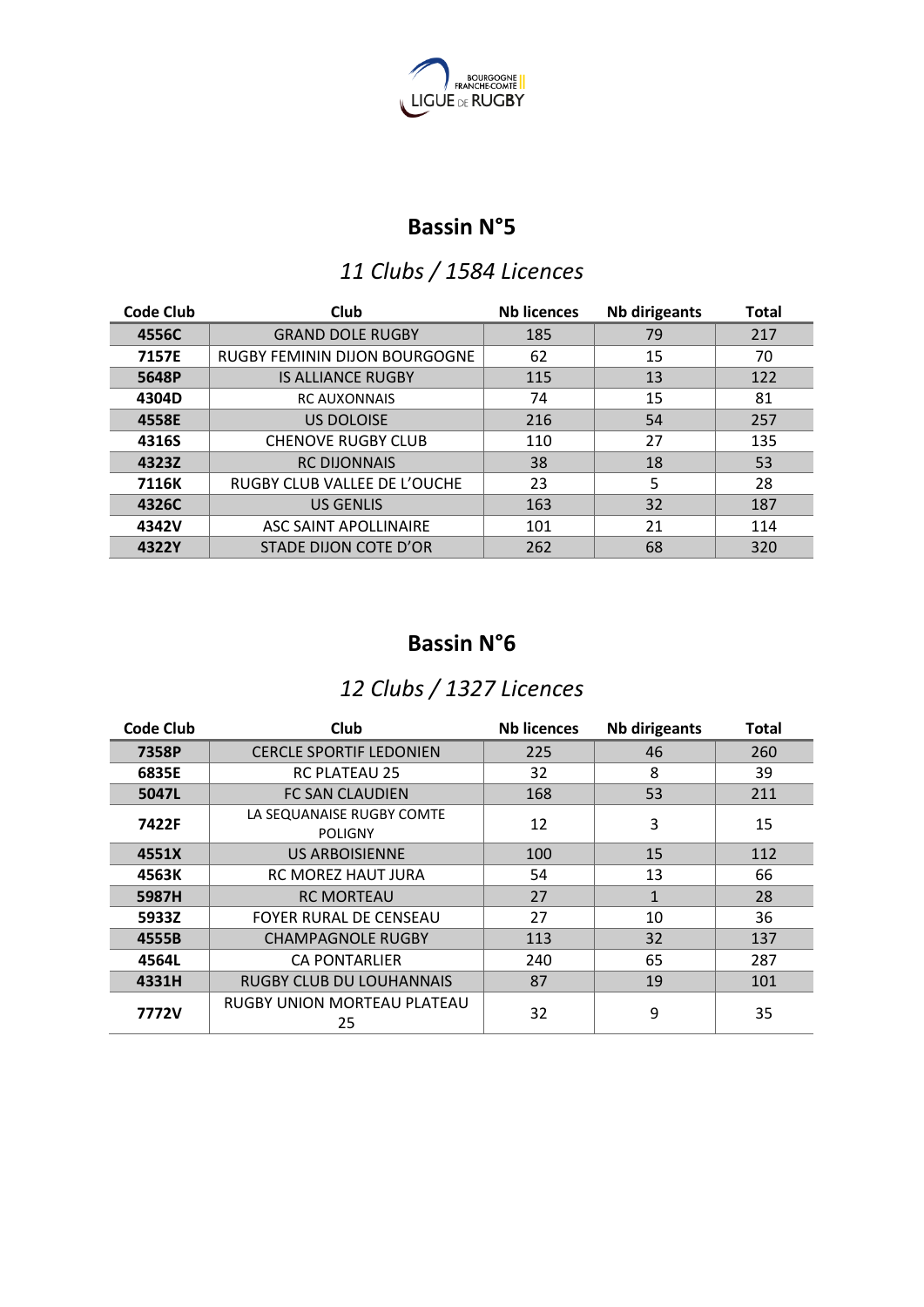

#### **Bassin N°5**

## *11 Clubs / 1584 Licences*

| <b>Code Club</b> | Club                          | <b>Nb licences</b> | <b>Nb dirigeants</b> | <b>Total</b> |
|------------------|-------------------------------|--------------------|----------------------|--------------|
| 4556C            | <b>GRAND DOLE RUGBY</b>       | 185                | 79                   | 217          |
| 7157E            | RUGBY FEMININ DIJON BOURGOGNE | 62                 | 15                   | 70           |
| 5648P            | <b>IS ALLIANCE RUGBY</b>      | 115                | 13                   | 122          |
| 4304D            | <b>RC AUXONNAIS</b>           | 74                 | 15                   | 81           |
| 4558E            | <b>US DOLOISE</b>             | 216                | 54                   | 257          |
| 4316S            | <b>CHENOVE RUGBY CLUB</b>     | 110                | 27                   | 135          |
| 4323Z            | <b>RC DIJONNAIS</b>           | 38                 | 18                   | 53           |
| 7116K            | RUGBY CLUB VALLEE DE L'OUCHE  | 23                 | 5                    | 28           |
| 4326C            | <b>US GENLIS</b>              | 163                | 32                   | 187          |
| 4342V            | ASC SAINT APOLLINAIRE         | 101                | 21                   | 114          |
| 4322Y            | STADE DIJON COTE D'OR         | 262                | 68                   | 320          |

#### **Bassin N°6**

#### *12 Clubs / 1327 Licences*

| <b>Code Club</b> | Club                                        | <b>Nb licences</b> | <b>Nb dirigeants</b> | <b>Total</b> |
|------------------|---------------------------------------------|--------------------|----------------------|--------------|
| 7358P            | <b>CERCLE SPORTIF LEDONIEN</b>              | 225                | 46                   | 260          |
| 6835E            | <b>RC PLATEAU 25</b>                        | 32                 | 8                    | 39           |
| 5047L            | <b>FC SAN CLAUDIEN</b>                      | 168                | 53                   | 211          |
| 7422F            | LA SEQUANAISE RUGBY COMTE<br><b>POLIGNY</b> | 12                 | 3                    | 15           |
| 4551X            | <b>US ARBOISIENNE</b>                       | 100                | 15                   | 112          |
| 4563K            | RC MOREZ HAUT JURA                          | 54                 | 13                   | 66           |
| 5987H            | <b>RC MORTEAU</b>                           | 27                 | $\mathbf{1}$         | 28           |
| 5933Z            | <b>FOYER RURAL DE CENSEAU</b>               | 27                 | 10                   | 36           |
| 4555B            | <b>CHAMPAGNOLE RUGBY</b>                    | 113                | 32                   | 137          |
| 4564L            | <b>CA PONTARLIER</b>                        | 240                | 65                   | 287          |
| 4331H            | <b>RUGBY CLUB DU LOUHANNAIS</b>             | 87                 | 19                   | 101          |
| 7772V            | RUGBY UNION MORTEAU PLATEAU<br>25           | 32                 | 9                    | 35           |